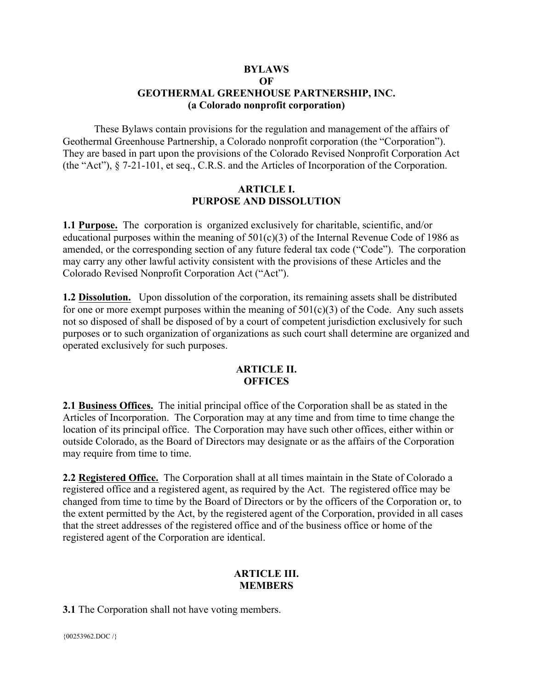#### **BYLAWS OF GEOTHERMAL GREENHOUSE PARTNERSHIP, INC. (a Colorado nonprofit corporation)**

These Bylaws contain provisions for the regulation and management of the affairs of Geothermal Greenhouse Partnership, a Colorado nonprofit corporation (the "Corporation"). They are based in part upon the provisions of the Colorado Revised Nonprofit Corporation Act (the "Act"), § 7-21-101, et seq., C.R.S. and the Articles of Incorporation of the Corporation.

#### **ARTICLE I. PURPOSE AND DISSOLUTION**

**1.1 Purpose.** The corporation is organized exclusively for charitable, scientific, and/or educational purposes within the meaning of  $501(c)(3)$  of the Internal Revenue Code of 1986 as amended, or the corresponding section of any future federal tax code ("Code"). The corporation may carry any other lawful activity consistent with the provisions of these Articles and the Colorado Revised Nonprofit Corporation Act ("Act").

**1.2 Dissolution.** Upon dissolution of the corporation, its remaining assets shall be distributed for one or more exempt purposes within the meaning of  $501(c)(3)$  of the Code. Any such assets not so disposed of shall be disposed of by a court of competent jurisdiction exclusively for such purposes or to such organization of organizations as such court shall determine are organized and operated exclusively for such purposes.

#### **ARTICLE II. OFFICES**

**2.1 Business Offices.** The initial principal office of the Corporation shall be as stated in the Articles of Incorporation. The Corporation may at any time and from time to time change the location of its principal office. The Corporation may have such other offices, either within or outside Colorado, as the Board of Directors may designate or as the affairs of the Corporation may require from time to time.

**2.2 Registered Office.** The Corporation shall at all times maintain in the State of Colorado a registered office and a registered agent, as required by the Act. The registered office may be changed from time to time by the Board of Directors or by the officers of the Corporation or, to the extent permitted by the Act, by the registered agent of the Corporation, provided in all cases that the street addresses of the registered office and of the business office or home of the registered agent of the Corporation are identical.

#### **ARTICLE III. MEMBERS**

**3.1** The Corporation shall not have voting members.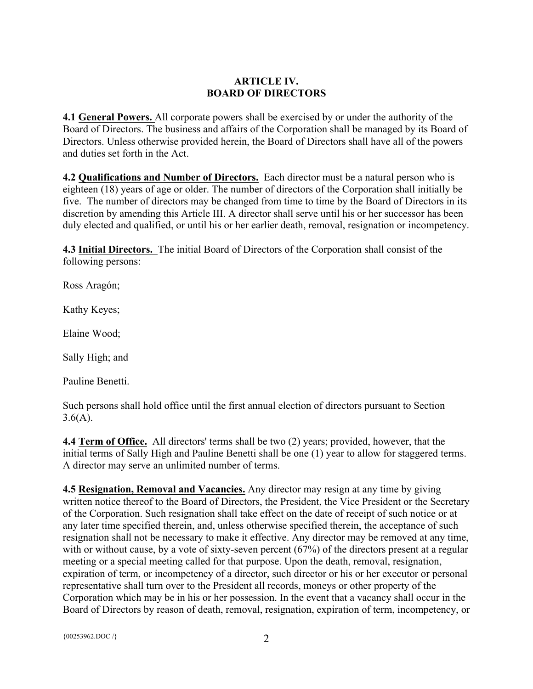# **ARTICLE IV. BOARD OF DIRECTORS**

**4.1 General Powers.** All corporate powers shall be exercised by or under the authority of the Board of Directors. The business and affairs of the Corporation shall be managed by its Board of Directors. Unless otherwise provided herein, the Board of Directors shall have all of the powers and duties set forth in the Act.

**4.2 Qualifications and Number of Directors.** Each director must be a natural person who is eighteen (18) years of age or older. The number of directors of the Corporation shall initially be five. The number of directors may be changed from time to time by the Board of Directors in its discretion by amending this Article III. A director shall serve until his or her successor has been duly elected and qualified, or until his or her earlier death, removal, resignation or incompetency.

**4.3 Initial Directors.** The initial Board of Directors of the Corporation shall consist of the following persons:

Ross Aragón;

Kathy Keyes;

Elaine Wood;

Sally High; and

Pauline Benetti.

Such persons shall hold office until the first annual election of directors pursuant to Section  $3.6(A)$ .

**4.4 Term of Office.** All directors' terms shall be two (2) years; provided, however, that the initial terms of Sally High and Pauline Benetti shall be one (1) year to allow for staggered terms. A director may serve an unlimited number of terms.

**4.5 Resignation, Removal and Vacancies.** Any director may resign at any time by giving written notice thereof to the Board of Directors, the President, the Vice President or the Secretary of the Corporation. Such resignation shall take effect on the date of receipt of such notice or at any later time specified therein, and, unless otherwise specified therein, the acceptance of such resignation shall not be necessary to make it effective. Any director may be removed at any time, with or without cause, by a vote of sixty-seven percent (67%) of the directors present at a regular meeting or a special meeting called for that purpose. Upon the death, removal, resignation, expiration of term, or incompetency of a director, such director or his or her executor or personal representative shall turn over to the President all records, moneys or other property of the Corporation which may be in his or her possession. In the event that a vacancy shall occur in the Board of Directors by reason of death, removal, resignation, expiration of term, incompetency, or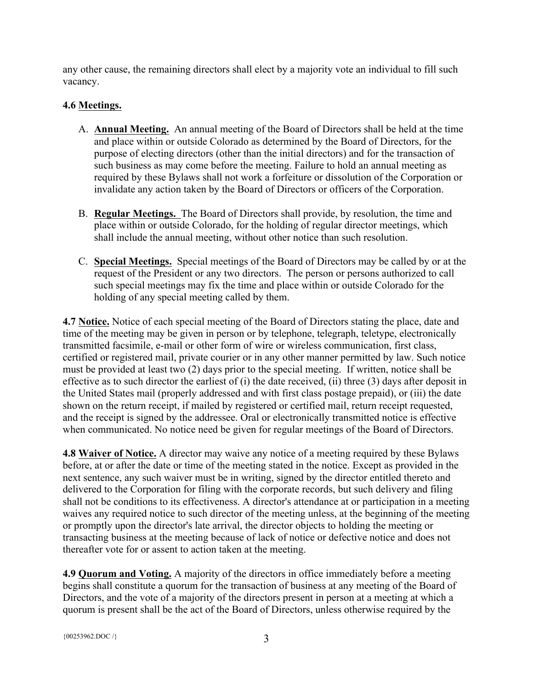any other cause, the remaining directors shall elect by a majority vote an individual to fill such vacancy.

# **4.6 Meetings.**

- A. **Annual Meeting.** An annual meeting of the Board of Directors shall be held at the time and place within or outside Colorado as determined by the Board of Directors, for the purpose of electing directors (other than the initial directors) and for the transaction of such business as may come before the meeting. Failure to hold an annual meeting as required by these Bylaws shall not work a forfeiture or dissolution of the Corporation or invalidate any action taken by the Board of Directors or officers of the Corporation.
- B. **Regular Meetings.** The Board of Directors shall provide, by resolution, the time and place within or outside Colorado, for the holding of regular director meetings, which shall include the annual meeting, without other notice than such resolution.
- C. **Special Meetings.** Special meetings of the Board of Directors may be called by or at the request of the President or any two directors. The person or persons authorized to call such special meetings may fix the time and place within or outside Colorado for the holding of any special meeting called by them.

**4.7 Notice.** Notice of each special meeting of the Board of Directors stating the place, date and time of the meeting may be given in person or by telephone, telegraph, teletype, electronically transmitted facsimile, e-mail or other form of wire or wireless communication, first class, certified or registered mail, private courier or in any other manner permitted by law. Such notice must be provided at least two (2) days prior to the special meeting. If written, notice shall be effective as to such director the earliest of (i) the date received, (ii) three (3) days after deposit in the United States mail (properly addressed and with first class postage prepaid), or (iii) the date shown on the return receipt, if mailed by registered or certified mail, return receipt requested, and the receipt is signed by the addressee. Oral or electronically transmitted notice is effective when communicated. No notice need be given for regular meetings of the Board of Directors.

**4.8 Waiver of Notice.** A director may waive any notice of a meeting required by these Bylaws before, at or after the date or time of the meeting stated in the notice. Except as provided in the next sentence, any such waiver must be in writing, signed by the director entitled thereto and delivered to the Corporation for filing with the corporate records, but such delivery and filing shall not be conditions to its effectiveness. A director's attendance at or participation in a meeting waives any required notice to such director of the meeting unless, at the beginning of the meeting or promptly upon the director's late arrival, the director objects to holding the meeting or transacting business at the meeting because of lack of notice or defective notice and does not thereafter vote for or assent to action taken at the meeting.

**4.9 Quorum and Voting.** A majority of the directors in office immediately before a meeting begins shall constitute a quorum for the transaction of business at any meeting of the Board of Directors, and the vote of a majority of the directors present in person at a meeting at which a quorum is present shall be the act of the Board of Directors, unless otherwise required by the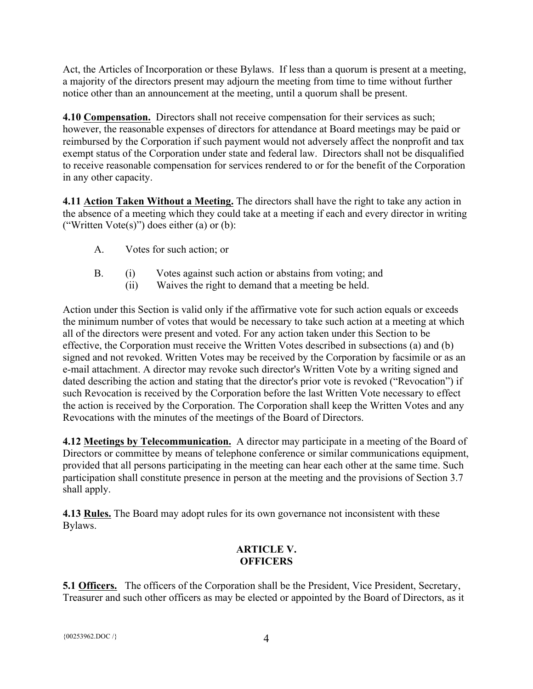Act, the Articles of Incorporation or these Bylaws. If less than a quorum is present at a meeting, a majority of the directors present may adjourn the meeting from time to time without further notice other than an announcement at the meeting, until a quorum shall be present.

**4.10 Compensation.** Directors shall not receive compensation for their services as such; however, the reasonable expenses of directors for attendance at Board meetings may be paid or reimbursed by the Corporation if such payment would not adversely affect the nonprofit and tax exempt status of the Corporation under state and federal law. Directors shall not be disqualified to receive reasonable compensation for services rendered to or for the benefit of the Corporation in any other capacity.

**4.11 Action Taken Without a Meeting.** The directors shall have the right to take any action in the absence of a meeting which they could take at a meeting if each and every director in writing ("Written Vote $(s)$ ") does either  $(a)$  or  $(b)$ :

- A. Votes for such action; or
- B. (i) Votes against such action or abstains from voting; and
	- (ii) Waives the right to demand that a meeting be held.

Action under this Section is valid only if the affirmative vote for such action equals or exceeds the minimum number of votes that would be necessary to take such action at a meeting at which all of the directors were present and voted. For any action taken under this Section to be effective, the Corporation must receive the Written Votes described in subsections (a) and (b) signed and not revoked. Written Votes may be received by the Corporation by facsimile or as an e-mail attachment. A director may revoke such director's Written Vote by a writing signed and dated describing the action and stating that the director's prior vote is revoked ("Revocation") if such Revocation is received by the Corporation before the last Written Vote necessary to effect the action is received by the Corporation. The Corporation shall keep the Written Votes and any Revocations with the minutes of the meetings of the Board of Directors.

**4.12 Meetings by Telecommunication.** A director may participate in a meeting of the Board of Directors or committee by means of telephone conference or similar communications equipment, provided that all persons participating in the meeting can hear each other at the same time. Such participation shall constitute presence in person at the meeting and the provisions of Section 3.7 shall apply.

**4.13 Rules.** The Board may adopt rules for its own governance not inconsistent with these Bylaws.

# **ARTICLE V. OFFICERS**

**5.1 Officers.** The officers of the Corporation shall be the President, Vice President, Secretary, Treasurer and such other officers as may be elected or appointed by the Board of Directors, as it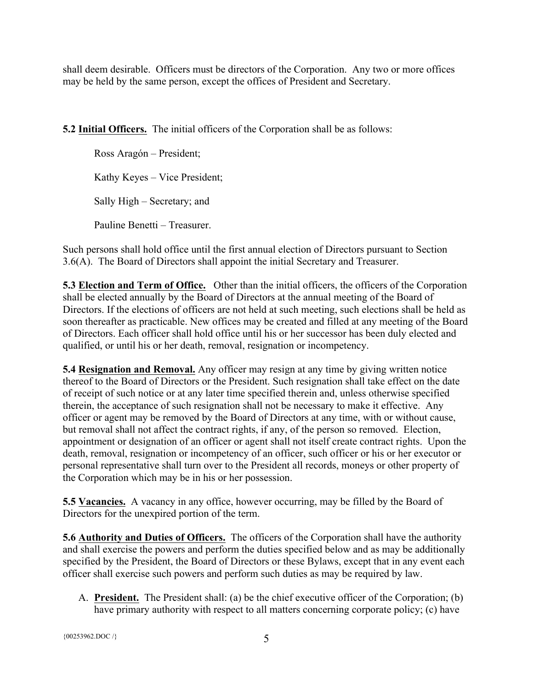shall deem desirable. Officers must be directors of the Corporation. Any two or more offices may be held by the same person, except the offices of President and Secretary.

**5.2 Initial Officers.** The initial officers of the Corporation shall be as follows:

Ross Aragón – President; Kathy Keyes – Vice President; Sally High – Secretary; and Pauline Benetti – Treasurer.

Such persons shall hold office until the first annual election of Directors pursuant to Section 3.6(A). The Board of Directors shall appoint the initial Secretary and Treasurer.

**5.3 Election and Term of Office.** Other than the initial officers, the officers of the Corporation shall be elected annually by the Board of Directors at the annual meeting of the Board of Directors. If the elections of officers are not held at such meeting, such elections shall be held as soon thereafter as practicable. New offices may be created and filled at any meeting of the Board of Directors. Each officer shall hold office until his or her successor has been duly elected and qualified, or until his or her death, removal, resignation or incompetency.

**5.4 Resignation and Removal.** Any officer may resign at any time by giving written notice thereof to the Board of Directors or the President. Such resignation shall take effect on the date of receipt of such notice or at any later time specified therein and, unless otherwise specified therein, the acceptance of such resignation shall not be necessary to make it effective. Any officer or agent may be removed by the Board of Directors at any time, with or without cause, but removal shall not affect the contract rights, if any, of the person so removed. Election, appointment or designation of an officer or agent shall not itself create contract rights. Upon the death, removal, resignation or incompetency of an officer, such officer or his or her executor or personal representative shall turn over to the President all records, moneys or other property of the Corporation which may be in his or her possession.

**5.5 Vacancies.** A vacancy in any office, however occurring, may be filled by the Board of Directors for the unexpired portion of the term.

**5.6 Authority and Duties of Officers.** The officers of the Corporation shall have the authority and shall exercise the powers and perform the duties specified below and as may be additionally specified by the President, the Board of Directors or these Bylaws, except that in any event each officer shall exercise such powers and perform such duties as may be required by law.

A. **President.** The President shall: (a) be the chief executive officer of the Corporation; (b) have primary authority with respect to all matters concerning corporate policy; (c) have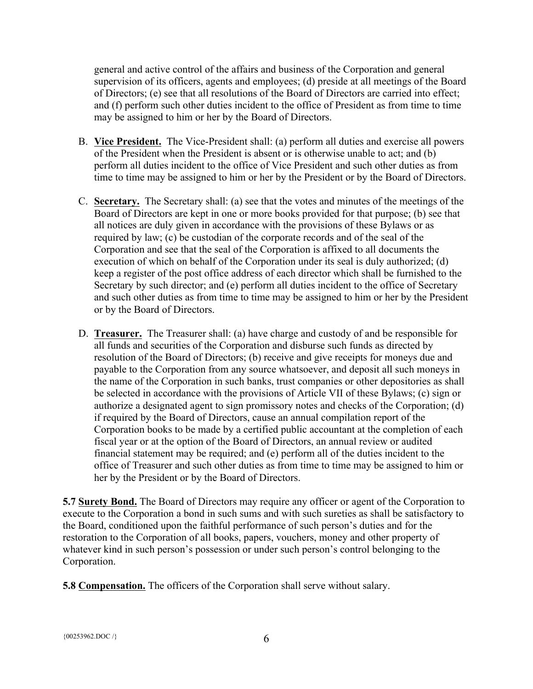general and active control of the affairs and business of the Corporation and general supervision of its officers, agents and employees; (d) preside at all meetings of the Board of Directors; (e) see that all resolutions of the Board of Directors are carried into effect; and (f) perform such other duties incident to the office of President as from time to time may be assigned to him or her by the Board of Directors.

- B. **Vice President.** The Vice-President shall: (a) perform all duties and exercise all powers of the President when the President is absent or is otherwise unable to act; and (b) perform all duties incident to the office of Vice President and such other duties as from time to time may be assigned to him or her by the President or by the Board of Directors.
- C. **Secretary.** The Secretary shall: (a) see that the votes and minutes of the meetings of the Board of Directors are kept in one or more books provided for that purpose; (b) see that all notices are duly given in accordance with the provisions of these Bylaws or as required by law; (c) be custodian of the corporate records and of the seal of the Corporation and see that the seal of the Corporation is affixed to all documents the execution of which on behalf of the Corporation under its seal is duly authorized; (d) keep a register of the post office address of each director which shall be furnished to the Secretary by such director; and (e) perform all duties incident to the office of Secretary and such other duties as from time to time may be assigned to him or her by the President or by the Board of Directors.
- D. **Treasurer.** The Treasurer shall: (a) have charge and custody of and be responsible for all funds and securities of the Corporation and disburse such funds as directed by resolution of the Board of Directors; (b) receive and give receipts for moneys due and payable to the Corporation from any source whatsoever, and deposit all such moneys in the name of the Corporation in such banks, trust companies or other depositories as shall be selected in accordance with the provisions of Article VII of these Bylaws; (c) sign or authorize a designated agent to sign promissory notes and checks of the Corporation; (d) if required by the Board of Directors, cause an annual compilation report of the Corporation books to be made by a certified public accountant at the completion of each fiscal year or at the option of the Board of Directors, an annual review or audited financial statement may be required; and (e) perform all of the duties incident to the office of Treasurer and such other duties as from time to time may be assigned to him or her by the President or by the Board of Directors.

**5.7 Surety Bond.** The Board of Directors may require any officer or agent of the Corporation to execute to the Corporation a bond in such sums and with such sureties as shall be satisfactory to the Board, conditioned upon the faithful performance of such person's duties and for the restoration to the Corporation of all books, papers, vouchers, money and other property of whatever kind in such person's possession or under such person's control belonging to the Corporation.

**5.8 Compensation.** The officers of the Corporation shall serve without salary.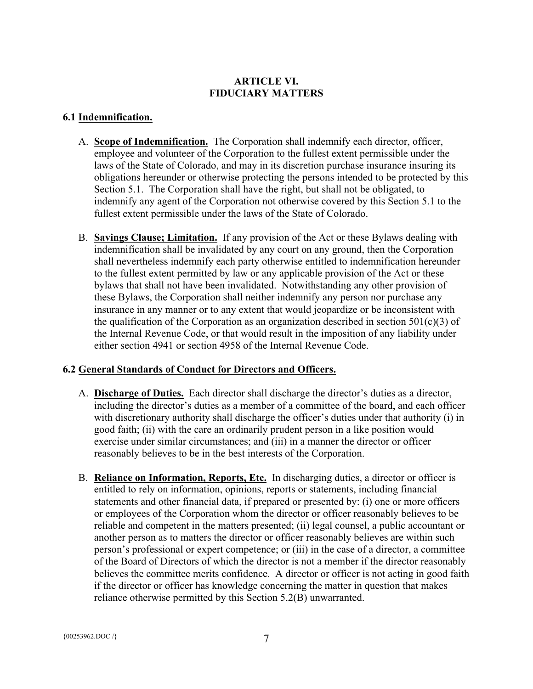# **ARTICLE VI. FIDUCIARY MATTERS**

## **6.1 Indemnification.**

- A. **Scope of Indemnification.** The Corporation shall indemnify each director, officer, employee and volunteer of the Corporation to the fullest extent permissible under the laws of the State of Colorado, and may in its discretion purchase insurance insuring its obligations hereunder or otherwise protecting the persons intended to be protected by this Section 5.1. The Corporation shall have the right, but shall not be obligated, to indemnify any agent of the Corporation not otherwise covered by this Section 5.1 to the fullest extent permissible under the laws of the State of Colorado.
- B. **Savings Clause; Limitation.** If any provision of the Act or these Bylaws dealing with indemnification shall be invalidated by any court on any ground, then the Corporation shall nevertheless indemnify each party otherwise entitled to indemnification hereunder to the fullest extent permitted by law or any applicable provision of the Act or these bylaws that shall not have been invalidated. Notwithstanding any other provision of these Bylaws, the Corporation shall neither indemnify any person nor purchase any insurance in any manner or to any extent that would jeopardize or be inconsistent with the qualification of the Corporation as an organization described in section  $501(c)(3)$  of the Internal Revenue Code, or that would result in the imposition of any liability under either section 4941 or section 4958 of the Internal Revenue Code.

# **6.2 General Standards of Conduct for Directors and Officers.**

- A. **Discharge of Duties.** Each director shall discharge the director's duties as a director, including the director's duties as a member of a committee of the board, and each officer with discretionary authority shall discharge the officer's duties under that authority (i) in good faith; (ii) with the care an ordinarily prudent person in a like position would exercise under similar circumstances; and (iii) in a manner the director or officer reasonably believes to be in the best interests of the Corporation.
- B. **Reliance on Information, Reports, Etc.** In discharging duties, a director or officer is entitled to rely on information, opinions, reports or statements, including financial statements and other financial data, if prepared or presented by: (i) one or more officers or employees of the Corporation whom the director or officer reasonably believes to be reliable and competent in the matters presented; (ii) legal counsel, a public accountant or another person as to matters the director or officer reasonably believes are within such person's professional or expert competence; or (iii) in the case of a director, a committee of the Board of Directors of which the director is not a member if the director reasonably believes the committee merits confidence. A director or officer is not acting in good faith if the director or officer has knowledge concerning the matter in question that makes reliance otherwise permitted by this Section 5.2(B) unwarranted.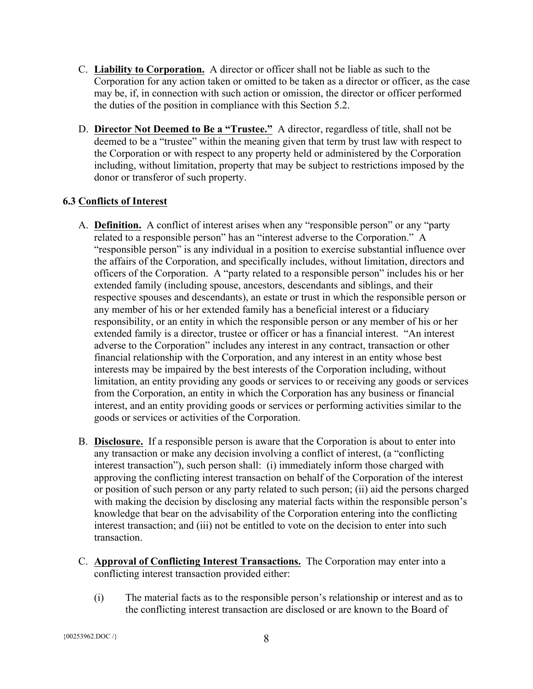- C. **Liability to Corporation.** A director or officer shall not be liable as such to the Corporation for any action taken or omitted to be taken as a director or officer, as the case may be, if, in connection with such action or omission, the director or officer performed the duties of the position in compliance with this Section 5.2.
- D. **Director Not Deemed to Be a "Trustee."** A director, regardless of title, shall not be deemed to be a "trustee" within the meaning given that term by trust law with respect to the Corporation or with respect to any property held or administered by the Corporation including, without limitation, property that may be subject to restrictions imposed by the donor or transferor of such property.

# **6.3 Conflicts of Interest**

- A. **Definition.** A conflict of interest arises when any "responsible person" or any "party related to a responsible person" has an "interest adverse to the Corporation." A "responsible person" is any individual in a position to exercise substantial influence over the affairs of the Corporation, and specifically includes, without limitation, directors and officers of the Corporation. A "party related to a responsible person" includes his or her extended family (including spouse, ancestors, descendants and siblings, and their respective spouses and descendants), an estate or trust in which the responsible person or any member of his or her extended family has a beneficial interest or a fiduciary responsibility, or an entity in which the responsible person or any member of his or her extended family is a director, trustee or officer or has a financial interest. "An interest adverse to the Corporation" includes any interest in any contract, transaction or other financial relationship with the Corporation, and any interest in an entity whose best interests may be impaired by the best interests of the Corporation including, without limitation, an entity providing any goods or services to or receiving any goods or services from the Corporation, an entity in which the Corporation has any business or financial interest, and an entity providing goods or services or performing activities similar to the goods or services or activities of the Corporation.
- B. **Disclosure.** If a responsible person is aware that the Corporation is about to enter into any transaction or make any decision involving a conflict of interest, (a "conflicting interest transaction"), such person shall: (i) immediately inform those charged with approving the conflicting interest transaction on behalf of the Corporation of the interest or position of such person or any party related to such person; (ii) aid the persons charged with making the decision by disclosing any material facts within the responsible person's knowledge that bear on the advisability of the Corporation entering into the conflicting interest transaction; and (iii) not be entitled to vote on the decision to enter into such transaction.
- C. **Approval of Conflicting Interest Transactions.** The Corporation may enter into a conflicting interest transaction provided either:
	- (i) The material facts as to the responsible person's relationship or interest and as to the conflicting interest transaction are disclosed or are known to the Board of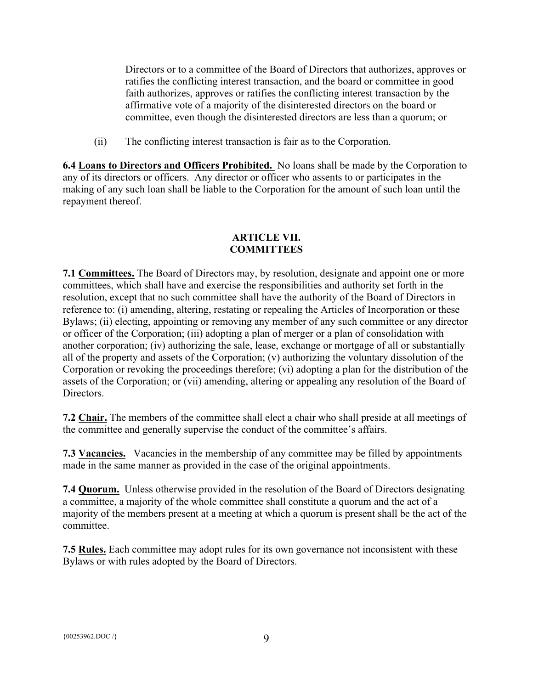Directors or to a committee of the Board of Directors that authorizes, approves or ratifies the conflicting interest transaction, and the board or committee in good faith authorizes, approves or ratifies the conflicting interest transaction by the affirmative vote of a majority of the disinterested directors on the board or committee, even though the disinterested directors are less than a quorum; or

(ii) The conflicting interest transaction is fair as to the Corporation.

**6.4 Loans to Directors and Officers Prohibited.** No loans shall be made by the Corporation to any of its directors or officers. Any director or officer who assents to or participates in the making of any such loan shall be liable to the Corporation for the amount of such loan until the repayment thereof.

## **ARTICLE VII. COMMITTEES**

**7.1 Committees.** The Board of Directors may, by resolution, designate and appoint one or more committees, which shall have and exercise the responsibilities and authority set forth in the resolution, except that no such committee shall have the authority of the Board of Directors in reference to: (i) amending, altering, restating or repealing the Articles of Incorporation or these Bylaws; (ii) electing, appointing or removing any member of any such committee or any director or officer of the Corporation; (iii) adopting a plan of merger or a plan of consolidation with another corporation; (iv) authorizing the sale, lease, exchange or mortgage of all or substantially all of the property and assets of the Corporation; (v) authorizing the voluntary dissolution of the Corporation or revoking the proceedings therefore; (vi) adopting a plan for the distribution of the assets of the Corporation; or (vii) amending, altering or appealing any resolution of the Board of **Directors** 

**7.2 Chair.** The members of the committee shall elect a chair who shall preside at all meetings of the committee and generally supervise the conduct of the committee's affairs.

**7.3 Vacancies.** Vacancies in the membership of any committee may be filled by appointments made in the same manner as provided in the case of the original appointments.

**7.4 Quorum.** Unless otherwise provided in the resolution of the Board of Directors designating a committee, a majority of the whole committee shall constitute a quorum and the act of a majority of the members present at a meeting at which a quorum is present shall be the act of the committee.

**7.5 Rules.** Each committee may adopt rules for its own governance not inconsistent with these Bylaws or with rules adopted by the Board of Directors.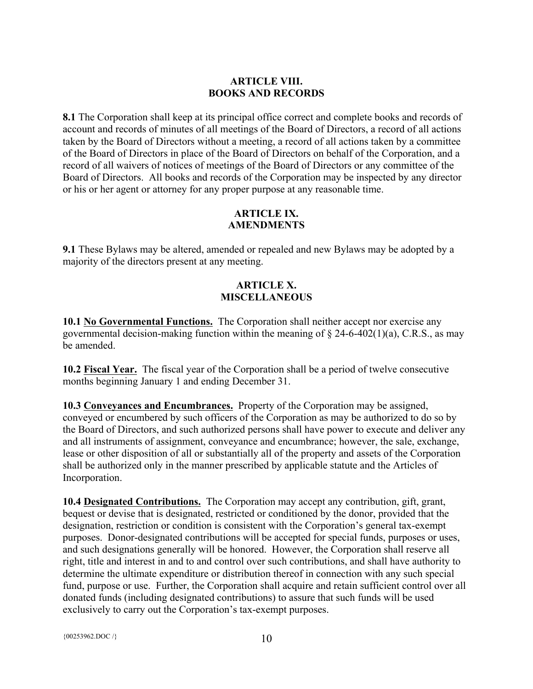## **ARTICLE VIII. BOOKS AND RECORDS**

**8.1** The Corporation shall keep at its principal office correct and complete books and records of account and records of minutes of all meetings of the Board of Directors, a record of all actions taken by the Board of Directors without a meeting, a record of all actions taken by a committee of the Board of Directors in place of the Board of Directors on behalf of the Corporation, and a record of all waivers of notices of meetings of the Board of Directors or any committee of the Board of Directors. All books and records of the Corporation may be inspected by any director or his or her agent or attorney for any proper purpose at any reasonable time.

# **ARTICLE IX. AMENDMENTS**

**9.1** These Bylaws may be altered, amended or repealed and new Bylaws may be adopted by a majority of the directors present at any meeting.

# **ARTICLE X. MISCELLANEOUS**

**10.1 No Governmental Functions.** The Corporation shall neither accept nor exercise any governmental decision-making function within the meaning of  $\S$  24-6-402(1)(a), C.R.S., as may be amended.

**10.2 Fiscal Year.** The fiscal year of the Corporation shall be a period of twelve consecutive months beginning January 1 and ending December 31.

**10.3 Conveyances and Encumbrances.** Property of the Corporation may be assigned, conveyed or encumbered by such officers of the Corporation as may be authorized to do so by the Board of Directors, and such authorized persons shall have power to execute and deliver any and all instruments of assignment, conveyance and encumbrance; however, the sale, exchange, lease or other disposition of all or substantially all of the property and assets of the Corporation shall be authorized only in the manner prescribed by applicable statute and the Articles of Incorporation.

**10.4 Designated Contributions.** The Corporation may accept any contribution, gift, grant, bequest or devise that is designated, restricted or conditioned by the donor, provided that the designation, restriction or condition is consistent with the Corporation's general tax-exempt purposes. Donor-designated contributions will be accepted for special funds, purposes or uses, and such designations generally will be honored. However, the Corporation shall reserve all right, title and interest in and to and control over such contributions, and shall have authority to determine the ultimate expenditure or distribution thereof in connection with any such special fund, purpose or use. Further, the Corporation shall acquire and retain sufficient control over all donated funds (including designated contributions) to assure that such funds will be used exclusively to carry out the Corporation's tax-exempt purposes.

{ $00253962.DOC$  /} 10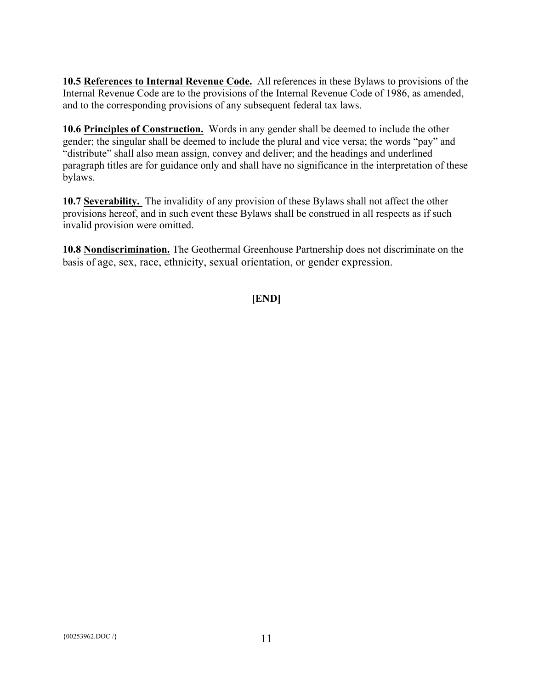**10.5 References to Internal Revenue Code.** All references in these Bylaws to provisions of the Internal Revenue Code are to the provisions of the Internal Revenue Code of 1986, as amended, and to the corresponding provisions of any subsequent federal tax laws.

**10.6 Principles of Construction.** Words in any gender shall be deemed to include the other gender; the singular shall be deemed to include the plural and vice versa; the words "pay" and "distribute" shall also mean assign, convey and deliver; and the headings and underlined paragraph titles are for guidance only and shall have no significance in the interpretation of these bylaws.

**10.7 Severability.** The invalidity of any provision of these Bylaws shall not affect the other provisions hereof, and in such event these Bylaws shall be construed in all respects as if such invalid provision were omitted.

**10.8 Nondiscrimination.** The Geothermal Greenhouse Partnership does not discriminate on the basis of age, sex, race, ethnicity, sexual orientation, or gender expression.

**[END]**